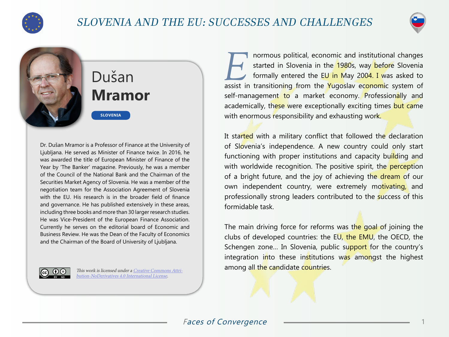

## SLOVENIA AND THE EU: SUCCESSES AND CHALLENGES



# Dušan **Mramor**

**SLOVENIA**

Dr. Dušan Mramor is a Professor of Finance at the University of Ljubljana. He served as Minister of Finance twice. In 2016, he was awarded the title of European Minister of Finance of the Year by 'The Banker' magazine. Previously, he was a member of the Council of the National Bank and the Chairman of the Securities Market Agency of Slovenia. He was a member of the negotiation team for the Association Agreement of Slovenia with the EU. His research is in the broader field of finance and governance. He has published extensively in these areas, including three books and more than 30 larger research studies. He was Vice-President of the European Finance Association. Currently he serves on the editorial board of Economic and Business Review. He was the Dean of the Faculty of Economics and the Chairman of the Board of University of Ljubljana.



This work is licensed under a [Creative Commons Attri](https://creativecommons.org/licenses/by-nd/4.0/)[bution-NoDerivatives 4.0 International License](https://creativecommons.org/licenses/by-nd/4.0/).

**EXECUTE IS IN THE ISSUE OF A SET AND A SET AND A STATE OF A SET AND A SET A SET AND THE STATE OF STATE SIDE STATE SIDE STATE SIDE STATE SIDE STATE SIDE SIDE STATE SIDE STATE SIDE STATE SIDE STATE SIDE STATE SIDE STATE SID** started in Slovenia in the 1980s, way before Slovenia assist in transitioning from the Yugoslav economic system of self-management to a market economy. Professionally and academically, these were exceptionally exciting times but came with enormous responsibility and exhausting work.

It started with a military conflict that followed the declaration of Slovenia's independence. A new country could only start functioning with proper institutions and capacity building and with worldwide recognition. The positive spirit, the perception of a bright future, and the joy of achieving the dream of our own independent country, were extremely motivating, and professionally strong leaders contributed to the success of this formidable task.

The main driving force for reforms was the goal of joining the clubs of developed countries: the EU, the EMU, the OECD, the Schengen zone... In Slovenia, public support for the country's integration into these institutions was amongst the highest among all the candidate countries.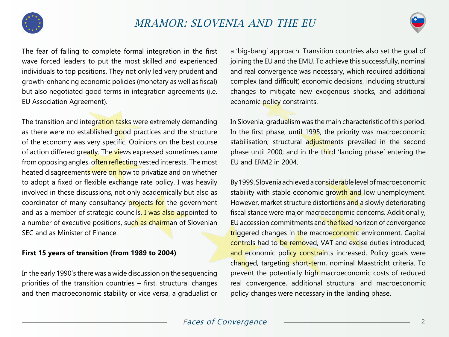



The fear of failing to complete formal integration in the first wave forced leaders to put the most skilled and experienced individuals to top positions. They not only led very prudent and growth-enhancing economic policies (monetary as well as fiscal) but also negotiated good terms in integration agreements (i.e. EU Association Agreement).

The transition and integration tasks were extremely demanding as there were no established good practices and the structure of the economy was very specific. Opinions on the best course of action differed greatly. The views expressed sometimes came from opposing angles, often reflecting vested interests. The most heated disagreements were on how to privatize and on whether to adopt a fixed or flexible exchange rate policy. I was heavily involved in these discussions, not only academically but also as coordinator of many consultancy projects for the government and as a member of strategic councils. I was also appointed to a number of executive positions, such as chairman of Slovenian SEC and as Minister of Finance.

### **First 15 years of transition (from 1989 to 2004)**

In the early 1990's there was a wide discussion on the sequencing priorities of the transition countries – first, structural changes and then macroeconomic stability or vice versa, a gradualist or

a 'big-bang' approach. Transition countries also set the goal of joining the EU and the EMU. To achieve this successfully, nominal and real convergence was necessary, which required additional complex (and difficult) economic decisions, including structural changes to mitigate new exogenous shocks, and additional economic policy constraints.

In Slovenia, gradualism was the main characteristic of this period. In the first phase, until 1995, the priority was macroeconomic stabilisation; structural adjustments prevailed in the second phase until 2000; and in the third 'landing phase' entering the EU and ERM2 in 2004.

By 1999, Slovenia achieved a considerable level of macroeconomic stability with stable economic growth and low unemployment. However, market structure distortions and a slowly deteriorating fiscal stance were major macroeconomic concerns. Additionally, EU accession commitments and the fixed horizon of convergence triggered changes in the macroeconomic environment. Capital controls had to be removed, VAT and excise duties introduced, and economic policy constraints increased. Policy goals were changed, targeting short-term, nominal Maastricht criteria. To prevent the potentially high macroeconomic costs of reduced real convergence, additional structural and macroeconomic policy changes were necessary in the landing phase.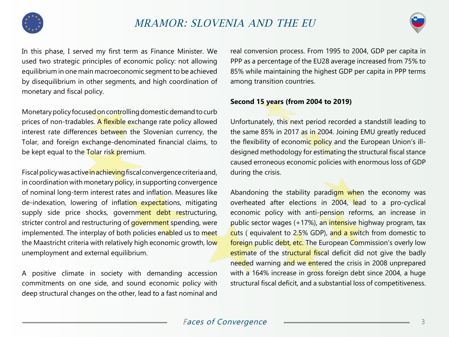



In this phase, I served my first term as Finance Minister. We used two strategic principles of economic policy: not allowing equilibrium in one main macroeconomic segment to be achieved by disequilibrium in other segments, and high coordination of monetary and fiscal policy.

Monetary policy focused on controlling domestic demand to curb prices of non-tradables. A flexible exchange rate policy allowed interest rate differences between the Slovenian currency, the Tolar, and foreign exchange-denominated financial claims, to be kept equal to the Tolar risk premium.

Fiscal policy was active in achieving fiscal convergence criteria and, in coordination with monetary policy, in supporting convergence of nominal long-term interest rates and inflation. Measures like de-indexation, lowering of inflation expectations, mitigating supply side price shocks, government debt restructuring, stricter control and restructuring of government spending, were implemented. The interplay of both policies enabled us to meet the Maastricht criteria with relatively high economic growth, low unemployment and external equilibrium.

A positive climate in society with demanding accession commitments on one side, and sound economic policy with deep structural changes on the other, lead to a fast nominal and

real conversion process. From 1995 to 2004, GDP per capita in PPP as a percentage of the EU28 average increased from 75% to 85% while maintaining the highest GDP per capita in PPP terms among transition countries.

#### **Second 15 years (from 2004 to 2019)**

Unfortunately, this next period recorded a standstill leading to the same 85% in 2017 as in 2004. Joining EMU greatly reduced the flexibility of economic policy and the European Union's illdesigned methodology for estimating the structural fiscal stance caused erroneous economic policies with enormous loss of GDP during the crisis.

Abandoning the stability paradigm when the economy was overheated after elections in 2004, lead to a pro-cyclical economic policy with anti-pension reforms, an increase in public sector wages (+17%), an intensive highway program, tax cuts ( equivalent to 2.5% GDP), and a switch from domestic to foreign public debt, etc. The European Commission's overly low estimate of the structural fiscal deficit did not give the badly needed warning and we entered the crisis in 2008 unprepared with a 164% increase in gross foreign debt since 2004, a huge structural fiscal deficit, and a substantial loss of competitiveness.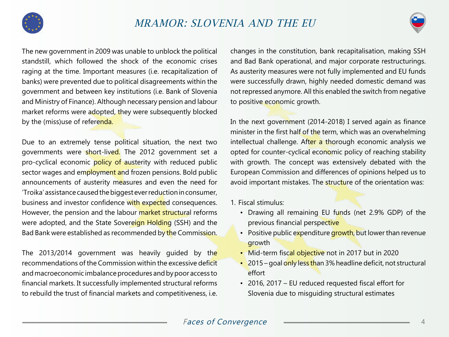

### MRAMOR: SLOVENIA AND THE EU



The new government in 2009 was unable to unblock the political standstill, which followed the shock of the economic crises raging at the time. Important measures (i.e. recapitalization of banks) were prevented due to political disagreements within the government and between key institutions (i.e. Bank of Slovenia and Ministry of Finance). Although necessary pension and labour market reforms were adopted, they were subsequently blocked by the (miss)use of referenda.

Due to an extremely tense political situation, the next two governments were short-lived. The 2012 government set a pro-cyclical economic policy of austerity with reduced public sector wages and employment and frozen pensions. Bold public announcements of austerity measures and even the need for 'Troika' assistance caused the biggest ever reduction in consumer, business and investor confidence with expected consequences. However, the pension and the labour market structural reforms were adopted, and the State Sovereign Holding (SSH) and the Bad Bank were established as recommended by the Commission.

The 2013/2014 government was heavily guided by the recommendations of the Commission within the excessive deficit and macroeconomic imbalance procedures and by poor access to financial markets. It successfully implemented structural reforms to rebuild the trust of financial markets and competitiveness, i.e.

changes in the constitution, bank recapitalisation, making SSH and Bad Bank operational, and major corporate restructurings. As austerity measures were not fully implemented and EU funds were successfully drawn, highly needed domestic demand was not repressed anymore. All this enabled the switch from negative to positive economic growth.

In the next government (2014-2018) I served again as finance minister in the first half of the term, which was an overwhelming intellectual challenge. After a thorough economic analysis we opted for counter-cyclical economic policy of reaching stability with growth. The concept was extensively debated with the European Commission and differences of opinions helped us to avoid important mistakes. The structure of the orientation was:

- 1. Fiscal stimulus:
	- Drawing all remaining EU funds (net 2.9% GDP) of the previous financial perspective
	- Positive public expenditure growth, but lower than revenue growth
	- Mid-term fiscal objective not in 2017 but in 2020
	- 2015 goal only less than 3% headline deficit, not structural effort
	- 2016, 2017 EU reduced requested fiscal effort for Slovenia due to misguiding structural estimates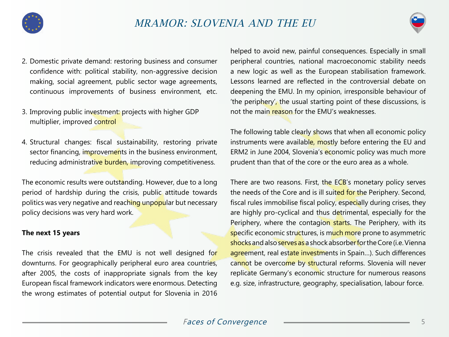



- 2. Domestic private demand: restoring business and consumer confidence with: political stability, non-aggressive decision making, social agreement, public sector wage agreements, continuous improvements of business environment, etc.
- 3. Improving public investment: projects with higher GDP multiplier, improved control
- 4. Structural changes: fiscal sustainability, restoring private sector financing, improvements in the business environment, reducing administrative burden, improving competitiveness.

The economic results were outstanding. However, due to a long period of hardship during the crisis, public attitude towards politics was very negative and reaching unpopular but necessary policy decisions was very hard work.

#### **The next 15 years**

The crisis revealed that the EMU is not well designed for downturns. For geographically peripheral euro area countries, after 2005, the costs of inappropriate signals from the key European fiscal framework indicators were enormous. Detecting the wrong estimates of potential output for Slovenia in 2016

helped to avoid new, painful consequences. Especially in small peripheral countries, national macroeconomic stability needs a new logic as well as the European stabilisation framework. Lessons learned are reflected in the controversial debate on deepening the EMU. In my opinion, irresponsible behaviour of 'the periphery', the usual starting point of these discussions, is not the main reason for the EMU's weaknesses.

The following table clearly shows that when all economic policy instruments were available, mostly before entering the EU and ERM2 in June 2004, Slovenia's economic policy was much more prudent than that of the core or the euro area as a whole.

There are two reasons. First, the ECB's monetary policy serves the needs of the Core and is ill suited for the Periphery. Second, fiscal rules immobilise fiscal policy, especially during crises, they are highly pro-cyclical and thus detrimental, especially for the Periphery, where the contagion starts. The Periphery, with its specific economic structures, is much more prone to asymmetric shocks and also serves as a shock absorber for the Core (i.e. Vienna agreement, real estate investments in Spain...). Such differences cannot be overcome by structural reforms. Slovenia will never replicate Germany's economic structure for numerous reasons e.g. size, infrastructure, geography, specialisation, labour force.